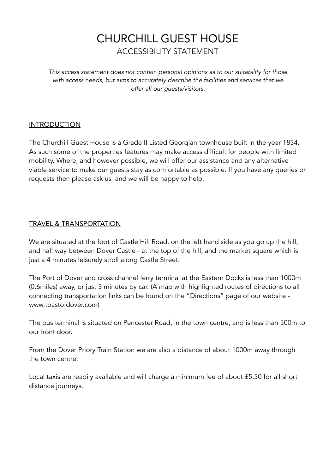# CHURCHILL GUEST HOUSE ACCESSIBILITY STATEMENT

*This access statement does not contain personal opinions as to our suitability for those with access needs, but aims to accurately describe the facilities and services that we offer all our guests/visitors.*

# **INTRODUCTION**

The Churchill Guest House is a Grade II Listed Georgian townhouse built in the year 1834. As such some of the properties features may make access difficult for people with limited mobility. Where, and however possible, we will offer our assistance and any alternative viable service to make our guests stay as comfortable as possible. If you have any queries or requests then please ask us and we will be happy to help.

# TRAVEL & TRANSPORTATION

We are situated at the foot of Castle Hill Road, on the left hand side as you go up the hill, and half way between Dover Castle - at the top of the hill, and the market square which is just a 4 minutes leisurely stroll along Castle Street.

The Port of Dover and cross channel ferry terminal at the Eastern Docks is less than 1000m (0.6miles) away, or just 3 minutes by car. (A map with highlighted routes of directions to all connecting transportation links can be found on the "Directions" page of our website www.toastofdover.com)

The bus terminal is situated on Pencester Road, in the town centre, and is less than 500m to our front door.

From the Dover Priory Train Station we are also a distance of about 1000m away through the town centre.

Local taxis are readily available and will charge a minimum fee of about £5.50 for all short distance journeys.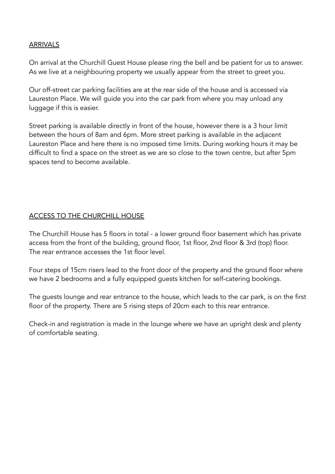## ARRIVALS

On arrival at the Churchill Guest House please ring the bell and be patient for us to answer. As we live at a neighbouring property we usually appear from the street to greet you.

Our off-street car parking facilities are at the rear side of the house and is accessed via Laureston Place. We will guide you into the car park from where you may unload any luggage if this is easier.

Street parking is available directly in front of the house, however there is a 3 hour limit between the hours of 8am and 6pm. More street parking is available in the adjacent Laureston Place and here there is no imposed time limits. During working hours it may be difficult to find a space on the street as we are so close to the town centre, but after 5pm spaces tend to become available.

# ACCESS TO THE CHURCHILL HOUSE

The Churchill House has 5 floors in total - a lower ground floor basement which has private access from the front of the building, ground floor, 1st floor, 2nd floor & 3rd (top) floor. The rear entrance accesses the 1st floor level.

Four steps of 15cm risers lead to the front door of the property and the ground floor where we have 2 bedrooms and a fully equipped guests kitchen for self-catering bookings.

The guests lounge and rear entrance to the house, which leads to the car park, is on the first floor of the property. There are 5 rising steps of 20cm each to this rear entrance.

Check-in and registration is made in the lounge where we have an upright desk and plenty of comfortable seating.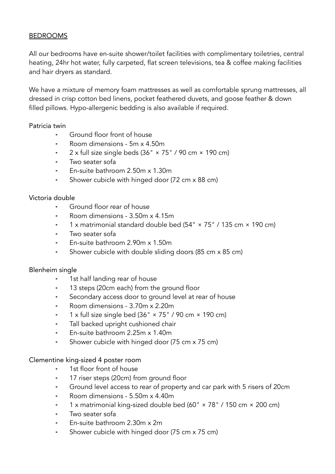#### BEDROOMS

All our bedrooms have en-suite shower/toilet facilities with complimentary toiletries, central heating, 24hr hot water, fully carpeted, flat screen televisions, tea & coffee making facilities and hair dryers as standard.

We have a mixture of memory foam mattresses as well as comfortable sprung mattresses, all dressed in crisp cotton bed linens, pocket feathered duvets, and goose feather & down filled pillows. Hypo-allergenic bedding is also available if required.

#### Patricia twin

- ⁃ Ground floor front of house
- ⁃ Room dimensions 5m x 4.50m
- $2 \times$  full size single beds (36"  $\times$  75" / 90 cm  $\times$  190 cm)
- Two seater sofa
- ⁃ En-suite bathroom 2.50m x 1.30m
- Shower cubicle with hinged door (72 cm x 88 cm)

#### Victoria double

- ⁃ Ground floor rear of house
- ⁃ Room dimensions 3.50m x 4.15m
- 1 x matrimonial standard double bed (54"  $\times$  75" / 135 cm  $\times$  190 cm)
- Two seater sofa
- ⁃ En-suite bathroom 2.90m x 1.50m
- Shower cubicle with double sliding doors (85 cm x 85 cm)

#### Blenheim single

- 1st half landing rear of house
- 13 steps (20cm each) from the ground floor
- Secondary access door to ground level at rear of house
- ⁃ Room dimensions 3.70m x 2.20m
- 1 x full size single bed  $(36" \times 75" / 90 \text{ cm} \times 190 \text{ cm})$
- ⁃ Tall backed upright cushioned chair
- ⁃ En-suite bathroom 2.25m x 1.40m
- Shower cubicle with hinged door (75 cm x 75 cm)

#### Clementine king-sized 4 poster room

- 1st floor front of house
- 17 riser steps (20cm) from ground floor
- Ground level access to rear of property and car park with 5 risers of 20cm
- ⁃ Room dimensions 5.50m x 4.40m
- 1 x matrimonial king-sized double bed (60" × 78" / 150 cm × 200 cm)
- Two seater sofa
- ⁃ En-suite bathroom 2.30m x 2m
- ⁃ Shower cubicle with hinged door (75 cm x 75 cm)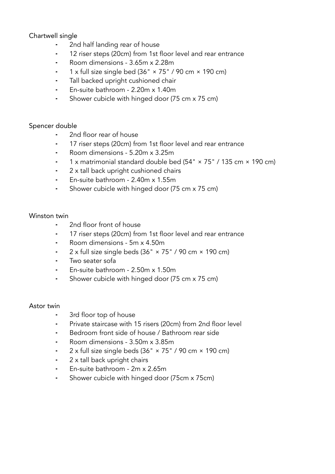# Chartwell single

- ⁃ 2nd half landing rear of house
- ⁃ 12 riser steps (20cm) from 1st floor level and rear entrance
- ⁃ Room dimensions 3.65m x 2.28m
- $1 \times$  full size single bed (36"  $\times$  75" / 90 cm  $\times$  190 cm)
- Tall backed upright cushioned chair
- ⁃ En-suite bathroom 2.20m x 1.40m
- ⁃ Shower cubicle with hinged door (75 cm x 75 cm)

#### Spencer double

- ⁃ 2nd floor rear of house
- ⁃ 17 riser steps (20cm) from 1st floor level and rear entrance
- ⁃ Room dimensions 5.20m x 3.25m
- ⁃ 1 x matrimonial standard double bed (54" × 75" / 135 cm × 190 cm)
- 2 x tall back upright cushioned chairs
- ⁃ En-suite bathroom 2.40m x 1.55m
- ⁃ Shower cubicle with hinged door (75 cm x 75 cm)

#### Winston twin

- ⁃ 2nd floor front of house
- 17 riser steps (20cm) from 1st floor level and rear entrance
- ⁃ Room dimensions 5m x 4.50m
- $2 \times$  full size single beds (36"  $\times$  75" / 90 cm  $\times$  190 cm)
- ⁃ Two seater sofa
- ⁃ En-suite bathroom 2.50m x 1.50m
- ⁃ Shower cubicle with hinged door (75 cm x 75 cm)

#### Astor twin

- ⁃ 3rd floor top of house
- ⁃ Private staircase with 15 risers (20cm) from 2nd floor level
- ⁃ Bedroom front side of house / Bathroom rear side
- ⁃ Room dimensions 3.50m x 3.85m
- $2 \times$  full size single beds (36"  $\times$  75" / 90 cm  $\times$  190 cm)
- 2 x tall back upright chairs
- ⁃ En-suite bathroom 2m x 2.65m
- ⁃ Shower cubicle with hinged door (75cm x 75cm)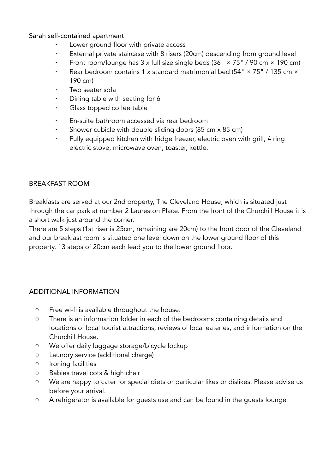Sarah self-contained apartment

- Lower ground floor with private access
- External private staircase with 8 risers (20cm) descending from ground level
- Front room/lounge has  $3 \times$  full size single beds ( $36" \times 75"$  /  $90 \text{ cm} \times 190 \text{ cm}$ )
- Rear bedroom contains 1 x standard matrimonial bed (54" × 75" / 135 cm × 190 cm)
- Two seater sofa
- Dining table with seating for 6
- Glass topped coffee table
- ⁃ En-suite bathroom accessed via rear bedroom
- Shower cubicle with double sliding doors (85 cm x 85 cm)
- Fully equipped kitchen with fridge freezer, electric oven with grill, 4 ring electric stove, microwave oven, toaster, kettle.

#### BREAKFAST ROOM

Breakfasts are served at our 2nd property, The Cleveland House, which is situated just through the car park at number 2 Laureston Place. From the front of the Churchill House it is a short walk just around the corner.

There are 5 steps (1st riser is 25cm, remaining are 20cm) to the front door of the Cleveland and our breakfast room is situated one level down on the lower ground floor of this property. 13 steps of 20cm each lead you to the lower ground floor.

#### ADDITIONAL INFORMATION

- Free wi-fi is available throughout the house.
- There is an information folder in each of the bedrooms containing details and locations of local tourist attractions, reviews of local eateries, and information on the Churchill House.
- We offer daily luggage storage/bicycle lockup
- Laundry service (additional charge)
- Ironing facilities
- Babies travel cots & high chair
- We are happy to cater for special diets or particular likes or dislikes. Please advise us before your arrival.
- A refrigerator is available for guests use and can be found in the guests lounge